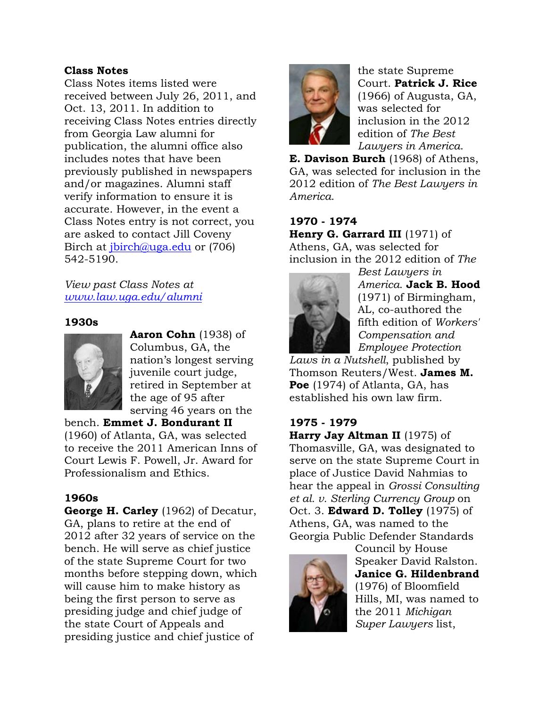### **Class Notes**

Class Notes items listed were received between July 26, 2011, and Oct. 13, 2011. In addition to receiving Class Notes entries directly from Georgia Law alumni for publication, the alumni office also includes notes that have been previously published in newspapers and/or magazines. Alumni staff verify information to ensure it is accurate. However, in the event a Class Notes entry is not correct, you are asked to contact Jill Coveny Birch at *jbirch@uga.edu* or (706) 542-5190.

## *View past Class Notes at www.law.uga.edu/alumni*

### **1930s**



**Aaron Cohn** (1938) of Columbus, GA, the nation's longest serving juvenile court judge, retired in September at the age of 95 after serving 46 years on the

bench. **Emmet J. Bondurant II**  (1960) of Atlanta, GA, was selected to receive the 2011 American Inns of Court Lewis F. Powell, Jr. Award for Professionalism and Ethics.

# **1960s**

**George H. Carley** (1962) of Decatur, GA, plans to retire at the end of 2012 after 32 years of service on the bench. He will serve as chief justice of the state Supreme Court for two months before stepping down, which will cause him to make history as being the first person to serve as presiding judge and chief judge of the state Court of Appeals and presiding justice and chief justice of



the state Supreme Court. **Patrick J. Rice**  (1966) of Augusta, GA, was selected for inclusion in the 2012 edition of *The Best Lawyers in America*.

**E. Davison Burch** (1968) of Athens, GA, was selected for inclusion in the 2012 edition of *The Best Lawyers in America*.

**1970 - 1974 Henry G. Garrard III** (1971) of Athens, GA, was selected for inclusion in the 2012 edition of *The* 



*Best Lawyers in America*. **Jack B. Hood**  (1971) of Birmingham, AL, co-authored the fifth edition of *Workers' Compensation and Employee Protection* 

*Laws in a Nutshell*, published by Thomson Reuters/West. **James M. Poe** (1974) of Atlanta, GA, has established his own law firm.

# **1975 - 1979**

**Harry Jay Altman II** (1975) of Thomasville, GA, was designated to serve on the state Supreme Court in place of Justice David Nahmias to hear the appeal in *Grossi Consulting et al. v. Sterling Currency Group* on Oct. 3. **Edward D. Tolley** (1975) of Athens, GA, was named to the Georgia Public Defender Standards



Council by House Speaker David Ralston. **Janice G. Hildenbrand**  (1976) of Bloomfield Hills, MI, was named to the 2011 *Michigan Super Lawyers* list,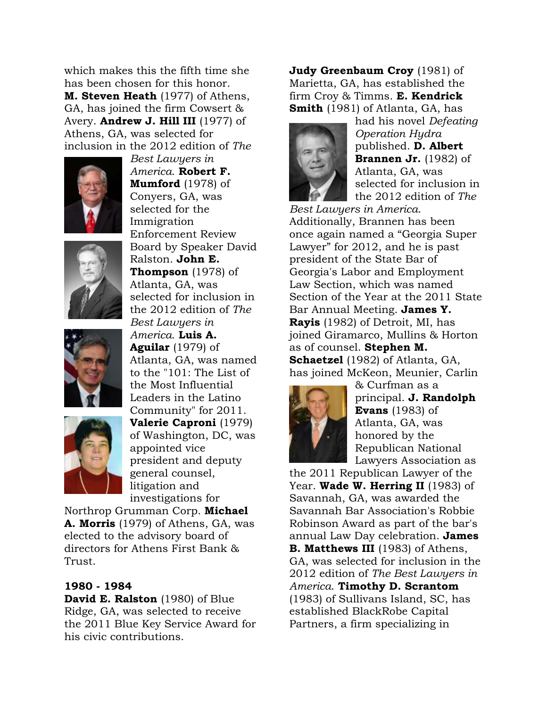which makes this the fifth time she has been chosen for this honor. **M. Steven Heath** (1977) of Athens, GA, has joined the firm Cowsert & Avery. **Andrew J. Hill III** (1977) of Athens, GA, was selected for inclusion in the 2012 edition of *The* 



*Best Lawyers in America*. **Robert F. Mumford** (1978) of Conyers, GA, was selected for the Immigration Enforcement Review Board by Speaker David Ralston. **John E. Thompson** (1978) of Atlanta, GA, was selected for inclusion in the 2012 edition of *The Best Lawyers in* 

*America*. **Luis A. Aguilar** (1979) of





the Most Influential Leaders in the Latino Community" for 2011. **Valerie Caproni** (1979) of Washington, DC, was appointed vice president and deputy general counsel, litigation and investigations for

Atlanta, GA, was named to the "101: The List of

Northrop Grumman Corp. **Michael A. Morris** (1979) of Athens, GA, was elected to the advisory board of directors for Athens First Bank & Trust.

# **1980 - 1984**

**David E. Ralston** (1980) of Blue Ridge, GA, was selected to receive the 2011 Blue Key Service Award for his civic contributions.

**Judy Greenbaum Croy** (1981) of Marietta, GA, has established the firm Croy & Timms. **E. Kendrick Smith** (1981) of Atlanta, GA, has



had his novel *Defeating Operation Hydra* published. **D. Albert Brannen Jr.** (1982) of Atlanta, GA, was selected for inclusion in the 2012 edition of *The* 

*Best Lawyers in America*. Additionally, Brannen has been once again named a "Georgia Super Lawyer" for 2012, and he is past president of the State Bar of Georgia's Labor and Employment Law Section, which was named Section of the Year at the 2011 State Bar Annual Meeting. **James Y. Rayis** (1982) of Detroit, MI, has joined Giramarco, Mullins & Horton as of counsel. **Stephen M. Schaetzel** (1982) of Atlanta, GA, has joined McKeon, Meunier, Carlin



& Curfman as a principal. **J. Randolph Evans** (1983) of Atlanta, GA, was honored by the Republican National Lawyers Association as

the 2011 Republican Lawyer of the Year. **Wade W. Herring II** (1983) of Savannah, GA, was awarded the Savannah Bar Association's Robbie Robinson Award as part of the bar's annual Law Day celebration. **James B. Matthews III** (1983) of Athens, GA, was selected for inclusion in the 2012 edition of *The Best Lawyers in America*. **Timothy D. Scrantom**  (1983) of Sullivans Island, SC, has established BlackRobe Capital Partners, a firm specializing in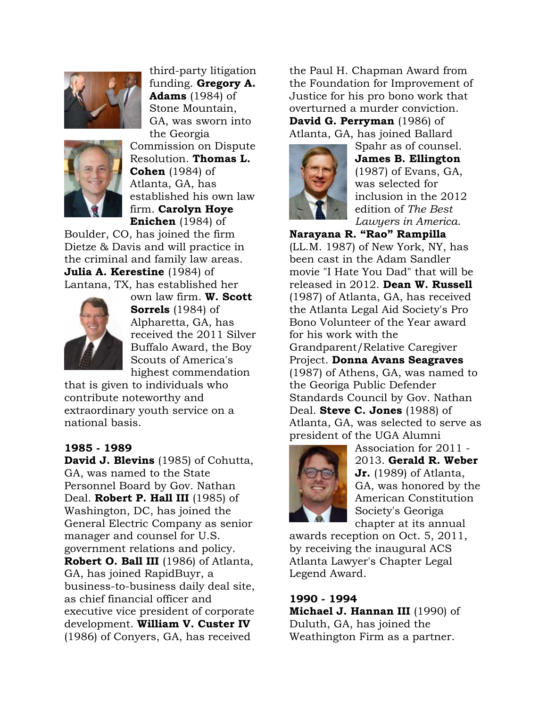



third-party litigation funding. **Gregory A. Adams** (1984) of Stone Mountain, GA, was sworn into the Georgia Commission on Dispute Resolution. **Thomas L. Cohen** (1984) of Atlanta, GA, has established his own law firm. **Carolyn Hoye Enichen** (1984) of

Boulder, CO, has joined the firm Dietze & Davis and will practice in the criminal and family law areas. **Julia A. Kerestine** (1984) of Lantana, TX, has established her



own law firm. **W. Scott Sorrels** (1984) of Alpharetta, GA, has received the 2011 Silver Buffalo Award, the Boy Scouts of America's highest commendation

that is given to individuals who contribute noteworthy and extraordinary youth service on a national basis.

### **1985 - 1989**

**David J. Blevins** (1985) of Cohutta, GA, was named to the State Personnel Board by Gov. Nathan Deal. **Robert P. Hall III** (1985) of Washington, DC, has joined the General Electric Company as senior manager and counsel for U.S. government relations and policy. **Robert O. Ball III** (1986) of Atlanta, GA, has joined RapidBuyr, a business-to-business daily deal site, as chief financial officer and executive vice president of corporate development. **William V. Custer IV**  (1986) of Conyers, GA, has received

the Paul H. Chapman Award from the Foundation for Improvement of Justice for his pro bono work that overturned a murder conviction. **David G. Perryman** (1986) of Atlanta, GA, has joined Ballard



Spahr as of counsel. **James B. Ellington**  (1987) of Evans, GA, was selected for inclusion in the 2012 edition of *The Best Lawyers in America*.

**Narayana R. "Rao" Rampilla**  (LL.M. 1987) of New York, NY, has been cast in the Adam Sandler movie "I Hate You Dad" that will be released in 2012. **Dean W. Russell**  (1987) of Atlanta, GA, has received the Atlanta Legal Aid Society's Pro Bono Volunteer of the Year award for his work with the Grandparent/Relative Caregiver Project. **Donna Avans Seagraves**  (1987) of Athens, GA, was named to the Georiga Public Defender Standards Council by Gov. Nathan Deal. **Steve C. Jones** (1988) of Atlanta, GA, was selected to serve as president of the UGA Alumni



Association for 2011 - 2013. **Gerald R. Weber Jr.** (1989) of Atlanta, GA, was honored by the American Constitution Society's Georiga chapter at its annual

awards reception on Oct. 5, 2011, by receiving the inaugural ACS Atlanta Lawyer's Chapter Legal Legend Award.

### **1990 - 1994**

**Michael J. Hannan III** (1990) of Duluth, GA, has joined the Weathington Firm as a partner.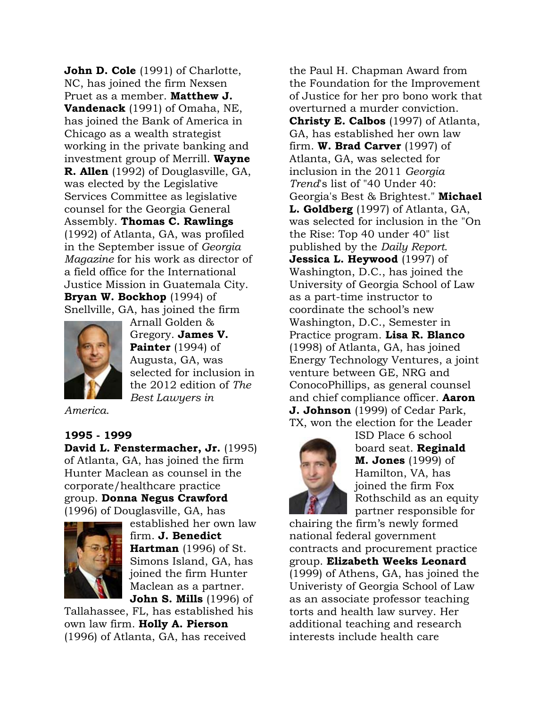**John D. Cole** (1991) of Charlotte, NC, has joined the firm Nexsen Pruet as a member. **Matthew J. Vandenack** (1991) of Omaha, NE, has joined the Bank of America in Chicago as a wealth strategist working in the private banking and investment group of Merrill. **Wayne R. Allen** (1992) of Douglasville, GA, was elected by the Legislative Services Committee as legislative counsel for the Georgia General Assembly. **Thomas C. Rawlings**  (1992) of Atlanta, GA, was profiled in the September issue of *Georgia Magazine* for his work as director of a field office for the International Justice Mission in Guatemala City. **Bryan W. Bockhop** (1994) of Snellville, GA, has joined the firm



Arnall Golden & Gregory. **James V. Painter** (1994) of Augusta, GA, was selected for inclusion in the 2012 edition of *The Best Lawyers in* 

*America*.

### **1995 - 1999**

**David L. Fenstermacher, Jr.** (1995) of Atlanta, GA, has joined the firm Hunter Maclean as counsel in the corporate/healthcare practice group. **Donna Negus Crawford**  (1996) of Douglasville, GA, has



established her own law firm. **J. Benedict Hartman** (1996) of St. Simons Island, GA, has joined the firm Hunter Maclean as a partner. **John S. Mills** (1996) of

Tallahassee, FL, has established his own law firm. **Holly A. Pierson**  (1996) of Atlanta, GA, has received

the Paul H. Chapman Award from the Foundation for the Improvement of Justice for her pro bono work that overturned a murder conviction. **Christy E. Calbos** (1997) of Atlanta, GA, has established her own law firm. **W. Brad Carver** (1997) of Atlanta, GA, was selected for inclusion in the 2011 *Georgia Trend*'s list of "40 Under 40: Georgia's Best & Brightest." **Michael L. Goldberg** (1997) of Atlanta, GA, was selected for inclusion in the "On the Rise: Top 40 under 40" list published by the *Daily Report*. **Jessica L. Heywood** (1997) of Washington, D.C., has joined the University of Georgia School of Law as a part-time instructor to coordinate the school's new Washington, D.C., Semester in Practice program. **Lisa R. Blanco**  (1998) of Atlanta, GA, has joined Energy Technology Ventures, a joint venture between GE, NRG and ConocoPhillips, as general counsel and chief compliance officer. **Aaron J. Johnson** (1999) of Cedar Park, TX, won the election for the Leader



ISD Place 6 school board seat. **Reginald M. Jones** (1999) of Hamilton, VA, has joined the firm Fox Rothschild as an equity partner responsible for

chairing the firm's newly formed national federal government contracts and procurement practice group. **Elizabeth Weeks Leonard**  (1999) of Athens, GA, has joined the Univeristy of Georgia School of Law as an associate professor teaching torts and health law survey. Her additional teaching and research interests include health care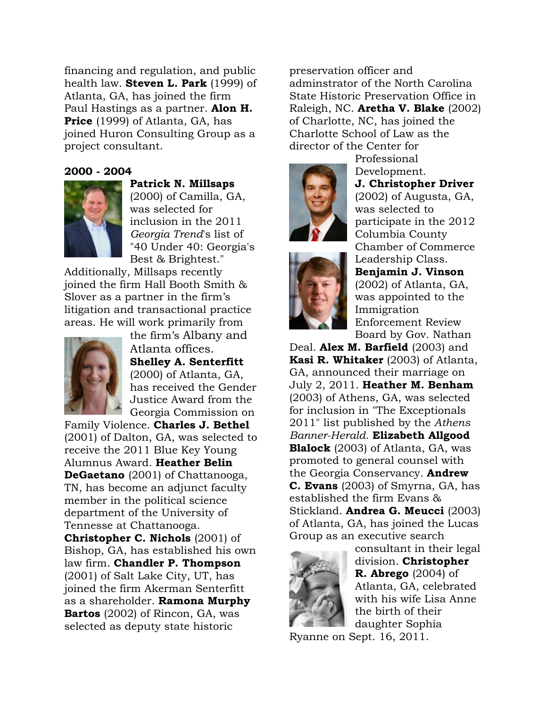financing and regulation, and public health law. **Steven L. Park** (1999) of Atlanta, GA, has joined the firm Paul Hastings as a partner. **Alon H. Price** (1999) of Atlanta, GA, has joined Huron Consulting Group as a project consultant.

#### **2000 - 2004**



**Patrick N. Millsaps**  (2000) of Camilla, GA, was selected for inclusion in the 2011 *Georgia Trend*'s list of "40 Under 40: Georgia's Best & Brightest."

Additionally, Millsaps recently joined the firm Hall Booth Smith & Slover as a partner in the firm's litigation and transactional practice areas. He will work primarily from



the firm's Albany and Atlanta offices. **Shelley A. Senterfitt**  (2000) of Atlanta, GA, has received the Gender Justice Award from the Georgia Commission on

Family Violence. **Charles J. Bethel**  (2001) of Dalton, GA, was selected to receive the 2011 Blue Key Young Alumnus Award. **Heather Belin DeGaetano** (2001) of Chattanooga, TN, has become an adjunct faculty member in the political science department of the University of Tennesse at Chattanooga. **Christopher C. Nichols** (2001) of Bishop, GA, has established his own law firm. **Chandler P. Thompson**  (2001) of Salt Lake City, UT, has joined the firm Akerman Senterfitt as a shareholder. **Ramona Murphy Bartos** (2002) of Rincon, GA, was selected as deputy state historic

preservation officer and adminstrator of the North Carolina State Historic Preservation Office in Raleigh, NC. **Aretha V. Blake** (2002) of Charlotte, NC, has joined the Charlotte School of Law as the director of the Center for

Professional





Development. **J. Christopher Driver**  (2002) of Augusta, GA, was selected to participate in the 2012 Columbia County Chamber of Commerce Leadership Class. **Benjamin J. Vinson**  (2002) of Atlanta, GA, was appointed to the

Immigration Enforcement Review Board by Gov. Nathan

Deal. **Alex M. Barfield** (2003) and **Kasi R. Whitaker** (2003) of Atlanta, GA, announced their marriage on July 2, 2011. **Heather M. Benham**  (2003) of Athens, GA, was selected for inclusion in "The Exceptionals 2011" list published by the *Athens Banner-Herald*. **Elizabeth Allgood Blalock** (2003) of Atlanta, GA, was promoted to general counsel with the Georgia Conservancy. **Andrew C. Evans** (2003) of Smyrna, GA, has established the firm Evans & Stickland. **Andrea G. Meucci** (2003) of Atlanta, GA, has joined the Lucas Group as an executive search



consultant in their legal division. **Christopher R. Abrego** (2004) of Atlanta, GA, celebrated with his wife Lisa Anne the birth of their daughter Sophia

Ryanne on Sept. 16, 2011.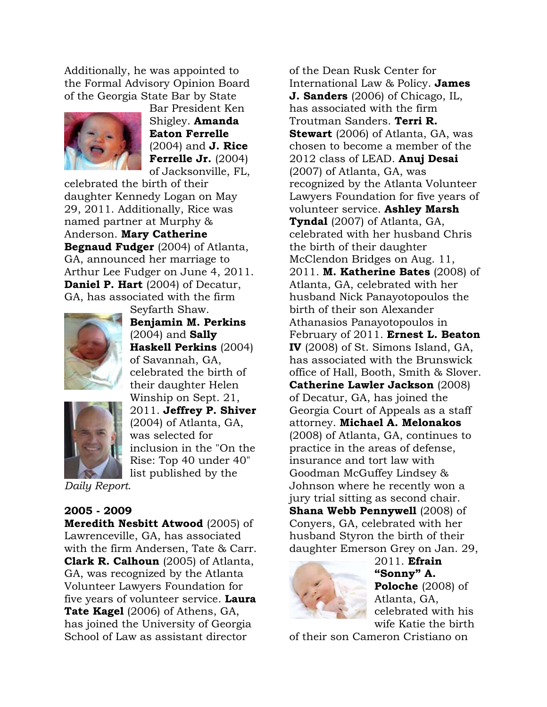Additionally, he was appointed to the Formal Advisory Opinion Board of the Georgia State Bar by State



Bar President Ken Shigley. **Amanda Eaton Ferrelle**  (2004) and **J. Rice Ferrelle Jr.** (2004) of Jacksonville, FL,

celebrated the birth of their daughter Kennedy Logan on May 29, 2011. Additionally, Rice was named partner at Murphy & Anderson. **Mary Catherine Begnaud Fudger** (2004) of Atlanta, GA, announced her marriage to Arthur Lee Fudger on June 4, 2011. **Daniel P. Hart** (2004) of Decatur, GA, has associated with the firm

Seyfarth Shaw.



**Benjamin M. Perkins**  (2004) and **Sally Haskell Perkins** (2004) of Savannah, GA, celebrated the birth of their daughter Helen Winship on Sept. 21, 2011. **Jeffrey P. Shiver**  (2004) of Atlanta, GA, was selected for inclusion in the "On the Rise: Top 40 under 40" list published by the

*Daily Report*.

### **2005 - 2009**

**Meredith Nesbitt Atwood** (2005) of Lawrenceville, GA, has associated with the firm Andersen, Tate & Carr. **Clark R. Calhoun** (2005) of Atlanta, GA, was recognized by the Atlanta Volunteer Lawyers Foundation for five years of volunteer service. **Laura Tate Kagel** (2006) of Athens, GA, has joined the University of Georgia School of Law as assistant director

of the Dean Rusk Center for International Law & Policy. **James J. Sanders** (2006) of Chicago, IL, has associated with the firm Troutman Sanders. **Terri R. Stewart** (2006) of Atlanta, GA, was chosen to become a member of the 2012 class of LEAD. **Anuj Desai**  (2007) of Atlanta, GA, was recognized by the Atlanta Volunteer Lawyers Foundation for five years of volunteer service. **Ashley Marsh Tyndal** (2007) of Atlanta, GA, celebrated with her husband Chris the birth of their daughter McClendon Bridges on Aug. 11, 2011. **M. Katherine Bates** (2008) of Atlanta, GA, celebrated with her husband Nick Panayotopoulos the birth of their son Alexander Athanasios Panayotopoulos in February of 2011. **Ernest L. Beaton IV** (2008) of St. Simons Island, GA, has associated with the Brunswick office of Hall, Booth, Smith & Slover. **Catherine Lawler Jackson** (2008) of Decatur, GA, has joined the Georgia Court of Appeals as a staff attorney. **Michael A. Melonakos**  (2008) of Atlanta, GA, continues to practice in the areas of defense, insurance and tort law with Goodman McGuffey Lindsey & Johnson where he recently won a jury trial sitting as second chair. **Shana Webb Pennywell** (2008) of Conyers, GA, celebrated with her husband Styron the birth of their daughter Emerson Grey on Jan. 29,



2011. **Efrain "Sonny" A. Poloche** (2008) of Atlanta, GA, celebrated with his wife Katie the birth

of their son Cameron Cristiano on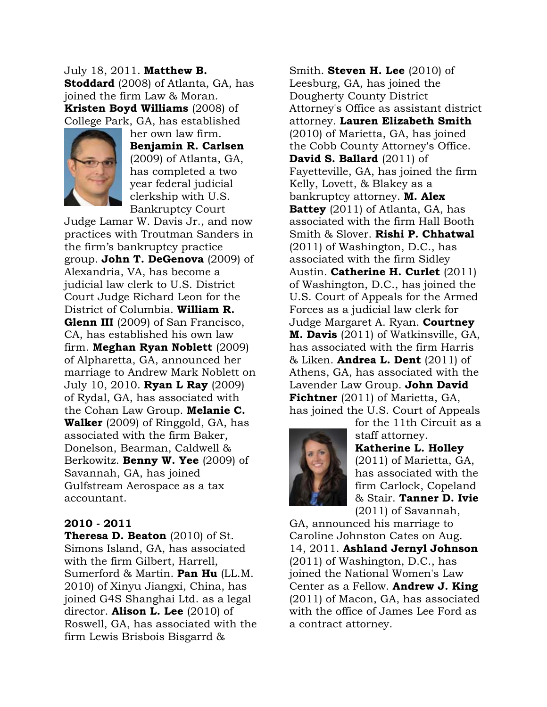July 18, 2011. **Matthew B. Stoddard** (2008) of Atlanta, GA, has joined the firm Law & Moran. **Kristen Boyd Williams** (2008) of College Park, GA, has established



her own law firm. **Benjamin R. Carlsen**  (2009) of Atlanta, GA, has completed a two year federal judicial clerkship with U.S. Bankruptcy Court

Judge Lamar W. Davis Jr., and now practices with Troutman Sanders in the firm's bankruptcy practice group. **John T. DeGenova** (2009) of Alexandria, VA, has become a judicial law clerk to U.S. District Court Judge Richard Leon for the District of Columbia. **William R. Glenn III** (2009) of San Francisco, CA, has established his own law firm. **Meghan Ryan Noblett** (2009) of Alpharetta, GA, announced her marriage to Andrew Mark Noblett on July 10, 2010. **Ryan L Ray** (2009) of Rydal, GA, has associated with the Cohan Law Group. **Melanie C. Walker** (2009) of Ringgold, GA, has associated with the firm Baker, Donelson, Bearman, Caldwell & Berkowitz. **Benny W. Yee** (2009) of Savannah, GA, has joined Gulfstream Aerospace as a tax accountant.

### **2010 - 2011**

**Theresa D. Beaton** (2010) of St. Simons Island, GA, has associated with the firm Gilbert, Harrell, Sumerford & Martin. **Pan Hu** (LL.M. 2010) of Xinyu Jiangxi, China, has joined G4S Shanghai Ltd. as a legal director. **Alison L. Lee** (2010) of Roswell, GA, has associated with the firm Lewis Brisbois Bisgarrd &

Smith. **Steven H. Lee** (2010) of Leesburg, GA, has joined the Dougherty County District Attorney's Office as assistant district attorney. **Lauren Elizabeth Smith**  (2010) of Marietta, GA, has joined the Cobb County Attorney's Office. **David S. Ballard** (2011) of Fayetteville, GA, has joined the firm Kelly, Lovett, & Blakey as a bankruptcy attorney. **M. Alex Battey** (2011) of Atlanta, GA, has associated with the firm Hall Booth Smith & Slover. **Rishi P. Chhatwal**  (2011) of Washington, D.C., has associated with the firm Sidley Austin. **Catherine H. Curlet** (2011) of Washington, D.C., has joined the U.S. Court of Appeals for the Armed Forces as a judicial law clerk for Judge Margaret A. Ryan. **Courtney M. Davis** (2011) of Watkinsville, GA, has associated with the firm Harris & Liken. **Andrea L. Dent** (2011) of Athens, GA, has associated with the Lavender Law Group. **John David Fichtner** (2011) of Marietta, GA, has joined the U.S. Court of Appeals



for the 11th Circuit as a staff attorney. **Katherine L. Holley**  (2011) of Marietta, GA, has associated with the firm Carlock, Copeland & Stair. **Tanner D. Ivie**  (2011) of Savannah,

GA, announced his marriage to Caroline Johnston Cates on Aug. 14, 2011. **Ashland Jernyl Johnson**  (2011) of Washington, D.C., has joined the National Women's Law Center as a Fellow. **Andrew J. King**  (2011) of Macon, GA, has associated with the office of James Lee Ford as a contract attorney.